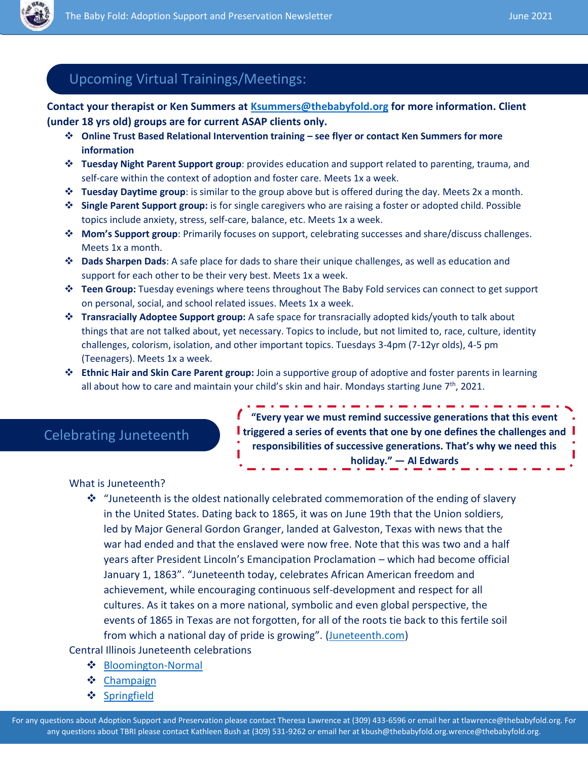

## Upcoming Virtual Trainings/Meetings:

**Contact your therapist or Ken Summers at [Ksummers@thebabyfold.org](mailto:Ksummers@thebabyfold.org) for more information. Client (under 18 yrs old) groups are for current ASAP clients only.** 

- **Online Trust Based Relational Intervention training – see flyer or contact Ken Summers for more information**
- **Tuesday Night Parent Support group**: provides education and support related to parenting, trauma, and self-care within the context of adoption and foster care. Meets 1x a week.
- **Tuesday Daytime group**: is similar to the group above but is offered during the day. Meets 2x a month.
- **Single Parent Support group:** is for single caregivers who are raising a foster or adopted child. Possible topics include anxiety, stress, self-care, balance, etc. Meets 1x a week.
- **Mom's Support group**: Primarily focuses on support, celebrating successes and share/discuss challenges. Meets 1x a month.
- **Dads Sharpen Dads**: A safe place for dads to share their unique challenges, as well as education and support for each other to be their very best. Meets 1x a week.
- **Teen Group:** Tuesday evenings where teens throughout The Baby Fold services can connect to get support on personal, social, and school related issues. Meets 1x a week.
- **Transracially Adoptee Support group:** A safe space for transracially adopted kids/youth to talk about things that are not talked about, yet necessary. Topics to include, but not limited to, race, culture, identity challenges, colorism, isolation, and other important topics. Tuesdays 3-4pm (7-12yr olds), 4-5 pm (Teenagers). Meets 1x a week.
- **Ethnic Hair and Skin Care Parent group:** Join a supportive group of adoptive and foster parents in learning all about how to care and maintain your child's skin and hair. Mondays starting June  $7<sup>th</sup>$ , 2021.

#### Celebrating Juneteenth

**"Every year we must remind successive generations that this event t** triggered a series of events that one by one defines the challenges and **l responsibilities of successive generations. That's why we need this holiday." — Al Edwards**

What is Juneteenth?

 $\clubsuit$  "Juneteenth is the oldest nationally celebrated commemoration of the ending of slavery in the United States. Dating back to 1865, it was on June 19th that the Union soldiers, led by Major General Gordon Granger, landed at Galveston, Texas with news that the war had ended and that the enslaved were now free. Note that this was two and a half years after President Lincoln's Emancipation Proclamation – which had become official January 1, 1863". "Juneteenth today, celebrates African American freedom and achievement, while encouraging continuous self-development and respect for all cultures. As it takes on a more national, symbolic and even global perspective, the events of 1865 in Texas are not forgotten, for all of the roots tie back to this fertile soil from which a national day of pride is growing". [\(Juneteenth.com\)](https://juneteenth.com/history/)

Central Illinois Juneteenth celebrations

- $\div$  [Bloomington-Normal](https://sites.google.com/bloomington.in.gov/juneteenth/home)
- **❖** Champaign
- ❖ Springfield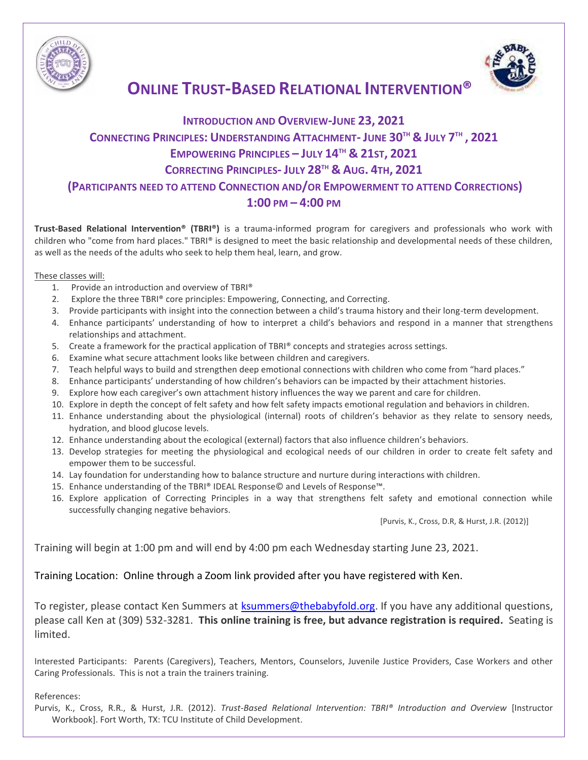



## **ONLINE TRUST-BASED RELATIONAL INTERVENTION®**

#### **INTRODUCTION AND OVERVIEW-JUNE 23, 2021 CONNECTING PRINCIPLES: UNDERSTANDING ATTACHMENT- JUNE 30TH & JULY 7 TH , 2021 EMPOWERING PRINCIPLES – JULY 14TH & 21ST, 2021 CORRECTING PRINCIPLES- JULY 28TH & AUG. 4TH, 2021 (PARTICIPANTS NEED TO ATTEND CONNECTION AND/OR EMPOWERMENT TO ATTEND CORRECTIONS) 1:00 PM – 4:00 PM**

**Trust-Based Relational Intervention® (TBRI®)** is a trauma-informed program for caregivers and professionals who work with children who "come from hard places." TBRI® is designed to meet the basic relationship and developmental needs of these children, as well as the needs of the adults who seek to help them heal, learn, and grow.

These classes will:

- 1. Provide an introduction and overview of TBRI®
- 2. Explore the three TBRI® core principles: Empowering, Connecting, and Correcting.
- 3. Provide participants with insight into the connection between a child's trauma history and their long-term development.
- 4. Enhance participants' understanding of how to interpret a child's behaviors and respond in a manner that strengthens relationships and attachment.
- 5. Create a framework for the practical application of TBRI® concepts and strategies across settings.
- 6. Examine what secure attachment looks like between children and caregivers.
- 7. Teach helpful ways to build and strengthen deep emotional connections with children who come from "hard places."
- 8. Enhance participants' understanding of how children's behaviors can be impacted by their attachment histories.
- 9. Explore how each caregiver's own attachment history influences the way we parent and care for children.
- 10. Explore in depth the concept of felt safety and how felt safety impacts emotional regulation and behaviors in children.
- 11. Enhance understanding about the physiological (internal) roots of children's behavior as they relate to sensory needs, hydration, and blood glucose levels.
- 12. Enhance understanding about the ecological (external) factors that also influence children's behaviors.
- 13. Develop strategies for meeting the physiological and ecological needs of our children in order to create felt safety and empower them to be successful.
- 14. Lay foundation for understanding how to balance structure and nurture during interactions with children.
- 15. Enhance understanding of the TBRI® IDEAL Response© and Levels of Response™.
- 16. Explore application of Correcting Principles in a way that strengthens felt safety and emotional connection while successfully changing negative behaviors.

[Purvis, K., Cross, D.R, & Hurst, J.R. (2012)]

Training will begin at 1:00 pm and will end by 4:00 pm each Wednesday starting June 23, 2021.

Training Location: Online through a Zoom link provided after you have registered with Ken.

To register, please contact Ken Summers at [ksummers@thebabyfold.org.](mailto:ksummers@thebabyfold.org) If you have any additional questions, please call Ken at (309) 532-3281. **This online training is free, but advance registration is required.** Seating is limited.

Interested Participants: Parents (Caregivers), Teachers, Mentors, Counselors, Juvenile Justice Providers, Case Workers and other Caring Professionals. This is not a train the trainers training.

References:

Purvis, K., Cross, R.R., & Hurst, J.R. (2012). *Trust-Based Relational Intervention: TBRI® Introduction and Overview* [Instructor Workbook]. Fort Worth, TX: TCU Institute of Child Development.